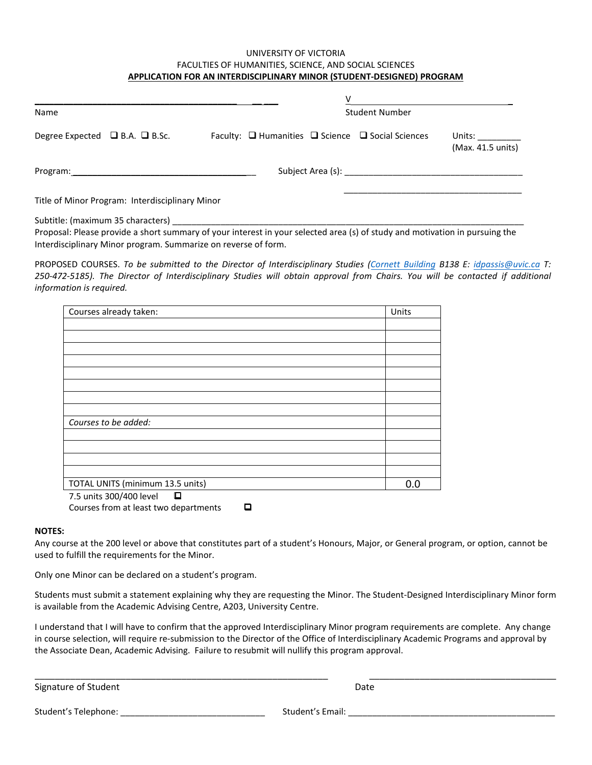## UNIVERSITY OF VICTORIA FACULTIES OF HUMANITIES, SCIENCE, AND SOCIAL SCIENCES **APPLICATION FOR AN INTERDISCIPLINARY MINOR (STUDENT-DESIGNED) PROGRAM**

| <b>Student Number</b><br>Name                   |                                                                                                                             |                                                                              |
|-------------------------------------------------|-----------------------------------------------------------------------------------------------------------------------------|------------------------------------------------------------------------------|
| Degree Expected $\Box$ B.A. $\Box$ B.Sc.        | Faculty: $\Box$ Humanities $\Box$ Science $\Box$ Social Sciences                                                            | Units: $\frac{1}{\sqrt{1-\frac{1}{2}}\cdot\frac{1}{2}}$<br>(Max. 41.5 units) |
|                                                 |                                                                                                                             |                                                                              |
| Title of Minor Program: Interdisciplinary Minor |                                                                                                                             |                                                                              |
|                                                 | Dronosal: Plasse provide a short summary of your interest in your selected area (s) of study and motivation in nursuing the |                                                                              |

Proposal: Please provide a short summary of your interest in your selected area (s) of study and motivation in pursuing the Interdisciplinary Minor program. Summarize on reverse of form.

PROPOSED COURSES. *To be submitted to the Director of Interdisciplinary Studies [\(Cornett Building B1](http://www.uvic.ca/buildings/cor.html)38 E[: idpassis@uvic.ca](mailto:idpassis@uvic.ca) T: 250-472-5185). The Director of Interdisciplinary Studies will obtain approval from Chairs. You will be contacted if additional information is required.*

| Courses already taken:           | Units |
|----------------------------------|-------|
|                                  |       |
|                                  |       |
|                                  |       |
|                                  |       |
|                                  |       |
|                                  |       |
|                                  |       |
|                                  |       |
| Courses to be added:             |       |
|                                  |       |
|                                  |       |
|                                  |       |
|                                  |       |
| TOTAL UNITS (minimum 13.5 units) | 0.0   |
| О<br>7.5 units 300/400 level     |       |

Courses from at least two departments  $\Box$ 

## **NOTES:**

Any course at the 200 level or above that constitutes part of a student's Honours, Major, or General program, or option, cannot be used to fulfill the requirements for the Minor.

Only one Minor can be declared on a student's program.

Students must submit a statement explaining why they are requesting the Minor. The Student-Designed Interdisciplinary Minor form is available from the Academic Advising Centre, A203, University Centre.

I understand that I will have to confirm that the approved Interdisciplinary Minor program requirements are complete. Any change in course selection, will require re-submission to the Director of the Office of Interdisciplinary Academic Programs and approval by the Associate Dean, Academic Advising. Failure to resubmit will nullify this program approval.

\_\_\_\_\_\_\_\_\_\_\_\_\_\_\_\_\_\_\_\_\_\_\_\_\_\_\_\_\_\_\_\_\_\_\_\_\_\_\_\_\_\_\_\_\_\_\_\_\_\_\_\_\_\_\_\_\_\_ \_\_\_\_\_\_\_\_\_\_\_\_\_\_\_\_\_\_\_\_\_\_\_\_\_\_\_\_\_\_\_\_\_\_\_\_\_

Signature of Student Date

Student's Telephone: \_\_\_\_\_\_\_\_\_\_\_\_\_\_\_\_\_\_\_\_\_\_\_\_\_\_\_\_\_\_ Student's Email: \_\_\_\_\_\_\_\_\_\_\_\_\_\_\_\_\_\_\_\_\_\_\_\_\_\_\_\_\_\_\_\_\_\_\_\_\_\_\_\_\_\_\_